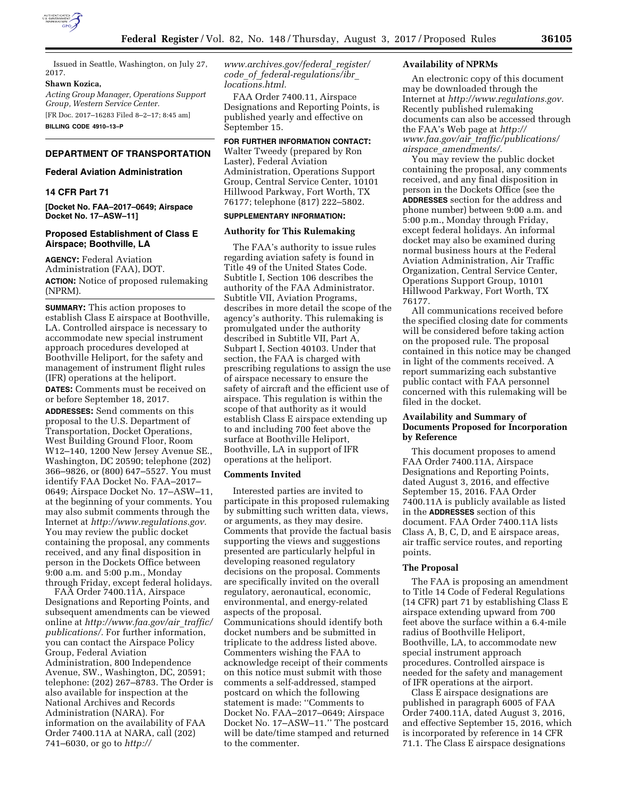

Issued in Seattle, Washington, on July 27, 2017.

## **Shawn Kozica,**

*Acting Group Manager, Operations Support Group, Western Service Center.*  [FR Doc. 2017–16283 Filed 8–2–17; 8:45 am]

**BILLING CODE 4910–13–P** 

## **DEPARTMENT OF TRANSPORTATION**

### **Federal Aviation Administration**

#### **14 CFR Part 71**

**[Docket No. FAA–2017–0649; Airspace Docket No. 17–ASW–11]** 

#### **Proposed Establishment of Class E Airspace; Boothville, LA**

**AGENCY:** Federal Aviation Administration (FAA), DOT. **ACTION:** Notice of proposed rulemaking (NPRM).

**SUMMARY:** This action proposes to establish Class E airspace at Boothville, LA. Controlled airspace is necessary to accommodate new special instrument approach procedures developed at Boothville Heliport, for the safety and management of instrument flight rules (IFR) operations at the heliport.

**DATES:** Comments must be received on or before September 18, 2017.

**ADDRESSES:** Send comments on this proposal to the U.S. Department of Transportation, Docket Operations, West Building Ground Floor, Room W12–140, 1200 New Jersey Avenue SE., Washington, DC 20590; telephone (202) 366–9826, or (800) 647–5527. You must identify FAA Docket No. FAA–2017– 0649; Airspace Docket No. 17–ASW–11, at the beginning of your comments. You may also submit comments through the Internet at *[http://www.regulations.gov.](http://www.regulations.gov)*  You may review the public docket containing the proposal, any comments received, and any final disposition in person in the Dockets Office between 9:00 a.m. and 5:00 p.m., Monday through Friday, except federal holidays.

FAA Order 7400.11A, Airspace Designations and Reporting Points, and subsequent amendments can be viewed online at *[http://www.faa.gov/air](http://www.faa.gov/air_traffic/publications/)*\_*traffic/ [publications/.](http://www.faa.gov/air_traffic/publications/)* For further information, you can contact the Airspace Policy Group, Federal Aviation Administration, 800 Independence Avenue, SW., Washington, DC, 20591; telephone: (202) 267–8783. The Order is also available for inspection at the National Archives and Records Administration (NARA). For information on the availability of FAA Order 7400.11A at NARA, call (202) 741–6030, or go to *[http://](http://www.archives.gov/federal_register/code_of_federal-regulations/ibr_locations.html)*

*[www.archives.gov/federal](http://www.archives.gov/federal_register/code_of_federal-regulations/ibr_locations.html)*\_*register/ code*\_*of*\_*[federal-regulations/ibr](http://www.archives.gov/federal_register/code_of_federal-regulations/ibr_locations.html)*\_ *[locations.html.](http://www.archives.gov/federal_register/code_of_federal-regulations/ibr_locations.html)* 

FAA Order 7400.11, Airspace Designations and Reporting Points, is published yearly and effective on September 15.

**FOR FURTHER INFORMATION CONTACT:**  Walter Tweedy (prepared by Ron Laster), Federal Aviation Administration, Operations Support Group, Central Service Center, 10101 Hillwood Parkway, Fort Worth, TX 76177; telephone (817) 222–5802.

# **SUPPLEMENTARY INFORMATION:**

## **Authority for This Rulemaking**

The FAA's authority to issue rules regarding aviation safety is found in Title 49 of the United States Code. Subtitle I, Section 106 describes the authority of the FAA Administrator. Subtitle VII, Aviation Programs, describes in more detail the scope of the agency's authority. This rulemaking is promulgated under the authority described in Subtitle VII, Part A, Subpart I, Section 40103. Under that section, the FAA is charged with prescribing regulations to assign the use of airspace necessary to ensure the safety of aircraft and the efficient use of airspace. This regulation is within the scope of that authority as it would establish Class E airspace extending up to and including 700 feet above the surface at Boothville Heliport, Boothville, LA in support of IFR operations at the heliport.

### **Comments Invited**

Interested parties are invited to participate in this proposed rulemaking by submitting such written data, views, or arguments, as they may desire. Comments that provide the factual basis supporting the views and suggestions presented are particularly helpful in developing reasoned regulatory decisions on the proposal. Comments are specifically invited on the overall regulatory, aeronautical, economic, environmental, and energy-related aspects of the proposal. Communications should identify both docket numbers and be submitted in triplicate to the address listed above. Commenters wishing the FAA to acknowledge receipt of their comments on this notice must submit with those comments a self-addressed, stamped postcard on which the following statement is made: ''Comments to Docket No. FAA–2017–0649; Airspace Docket No. 17–ASW–11.'' The postcard will be date/time stamped and returned to the commenter.

#### **Availability of NPRMs**

An electronic copy of this document may be downloaded through the Internet at *[http://www.regulations.gov.](http://www.regulations.gov)*  Recently published rulemaking documents can also be accessed through the FAA's Web page at *[http://](http://www.faa.gov/air_traffic/publications/airspace_amendments/) www.faa.gov/air*\_*[traffic/publications/](http://www.faa.gov/air_traffic/publications/airspace_amendments/) airspace*\_*[amendments/.](http://www.faa.gov/air_traffic/publications/airspace_amendments/)* 

You may review the public docket containing the proposal, any comments received, and any final disposition in person in the Dockets Office (see the **ADDRESSES** section for the address and phone number) between 9:00 a.m. and 5:00 p.m., Monday through Friday, except federal holidays. An informal docket may also be examined during normal business hours at the Federal Aviation Administration, Air Traffic Organization, Central Service Center, Operations Support Group, 10101 Hillwood Parkway, Fort Worth, TX 76177.

All communications received before the specified closing date for comments will be considered before taking action on the proposed rule. The proposal contained in this notice may be changed in light of the comments received. A report summarizing each substantive public contact with FAA personnel concerned with this rulemaking will be filed in the docket.

#### **Availability and Summary of Documents Proposed for Incorporation by Reference**

This document proposes to amend FAA Order 7400.11A, Airspace Designations and Reporting Points, dated August 3, 2016, and effective September 15, 2016. FAA Order 7400.11A is publicly available as listed in the **ADDRESSES** section of this document. FAA Order 7400.11A lists Class A, B, C, D, and E airspace areas, air traffic service routes, and reporting points.

#### **The Proposal**

The FAA is proposing an amendment to Title 14 Code of Federal Regulations (14 CFR) part 71 by establishing Class E airspace extending upward from 700 feet above the surface within a 6.4-mile radius of Boothville Heliport, Boothville, LA, to accommodate new special instrument approach procedures. Controlled airspace is needed for the safety and management of IFR operations at the airport.

Class E airspace designations are published in paragraph 6005 of FAA Order 7400.11A, dated August 3, 2016, and effective September 15, 2016, which is incorporated by reference in 14 CFR 71.1. The Class E airspace designations